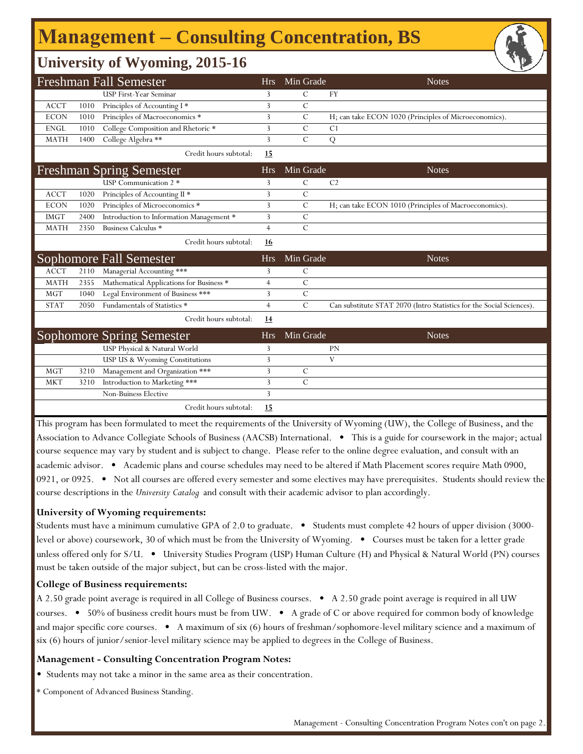# **Management ‒ Consulting Concentration, BS**

### **University of Wyoming, 2015-16**

|             |      | <b>Freshman Fall Semester</b>            | Hrs            | Min Grade      | <b>Notes</b>                                                         |
|-------------|------|------------------------------------------|----------------|----------------|----------------------------------------------------------------------|
|             |      | USP First-Year Seminar                   | 3              | С              | <b>FY</b>                                                            |
| <b>ACCT</b> | 1010 | Principles of Accounting I*              | 3              | $\overline{C}$ |                                                                      |
| <b>ECON</b> | 1010 | Principles of Macroeconomics *           | 3              | $\mathsf{C}$   | H; can take ECON 1020 (Principles of Microeconomics).                |
| <b>ENGL</b> | 1010 | College Composition and Rhetoric *       | 3              | C              | C <sub>1</sub>                                                       |
| <b>MATH</b> | 1400 | College Algebra **                       | 3              | $\overline{C}$ | Q                                                                    |
|             |      | Credit hours subtotal:                   | 15             |                |                                                                      |
|             |      | <b>Freshman Spring Semester</b>          | Hrs            | Min Grade      | <b>Notes</b>                                                         |
|             |      | USP Communication 2 *                    | 3              | C              | C <sub>2</sub>                                                       |
| <b>ACCT</b> | 1020 | Principles of Accounting II *            | 3              | C              |                                                                      |
| <b>ECON</b> | 1020 | Principles of Microeconomics *           | 3              | C              | H; can take ECON 1010 (Principles of Macroeconomics).                |
| <b>IMGT</b> | 2400 | Introduction to Information Management * | 3              | C              |                                                                      |
| <b>MATH</b> | 2350 | Business Calculus *                      | $\overline{4}$ | $\overline{C}$ |                                                                      |
|             |      | Credit hours subtotal:                   | 16             |                |                                                                      |
|             |      | Sophomore Fall Semester                  | <b>Hrs</b>     | Min Grade      | <b>Notes</b>                                                         |
| <b>ACCT</b> | 2110 | Managerial Accounting ***                | 3              | C              |                                                                      |
| <b>MATH</b> | 2355 | Mathematical Applications for Business * | 4              | $\mathcal{C}$  |                                                                      |
| <b>MGT</b>  | 1040 | Legal Environment of Business ***        | 3              | $\mathcal{C}$  |                                                                      |
| <b>STAT</b> | 2050 | Fundamentals of Statistics *             | $\overline{4}$ | $\mathcal{C}$  | Can substitute STAT 2070 (Intro Statistics for the Social Sciences). |
|             |      | Credit hours subtotal:                   | <u>14</u>      |                |                                                                      |
|             |      | <b>Sophomore Spring Semester</b>         | <b>Hrs</b>     | Min Grade      | <b>Notes</b>                                                         |
|             |      | USP Physical & Natural World             | 3              |                | PN                                                                   |
|             |      | USP US & Wyoming Constitutions           | 3              |                | V                                                                    |
| <b>MGT</b>  | 3210 | Management and Organization ***          | 3              | C              |                                                                      |
| <b>MKT</b>  | 3210 | Introduction to Marketing ***            | 3              | $\mathcal{C}$  |                                                                      |
|             |      | Non-Buiness Elective                     | 3              |                |                                                                      |
|             |      | Credit hours subtotal:                   | 15             |                |                                                                      |

This program has been formulated to meet the requirements of the University of Wyoming (UW), the College of Business, and the Association to Advance Collegiate Schools of Business (AACSB) International. • This is a guide for coursework in the major; actual course sequence may vary by student and is subject to change. Please refer to the online degree evaluation, and consult with an academic advisor. • Academic plans and course schedules may need to be altered if Math Placement scores require Math 0900, 0921, or 0925. • Not all courses are offered every semester and some electives may have prerequisites. Students should review the course descriptions in the *University Catalog* and consult with their academic advisor to plan accordingly.

#### **University of Wyoming requirements:**

Students must have a minimum cumulative GPA of 2.0 to graduate. • Students must complete 42 hours of upper division (3000 level or above) coursework, 30 of which must be from the University of Wyoming. • Courses must be taken for a letter grade unless offered only for S/U. • University Studies Program (USP) Human Culture (H) and Physical & Natural World (PN) courses must be taken outside of the major subject, but can be cross-listed with the major.

#### **College of Business requirements:**

A 2.50 grade point average is required in all College of Business courses. • A 2.50 grade point average is required in all UW courses. • 50% of business credit hours must be from UW. • A grade of C or above required for common body of knowledge and major specific core courses. • A maximum of six (6) hours of freshman/sophomore-level military science and a maximum of six (6) hours of junior/senior-level military science may be applied to degrees in the College of Business.

#### **Management - Consulting Concentration Program Notes:**

• Students may not take a minor in the same area as their concentration.

\* Component of Advanced Business Standing.